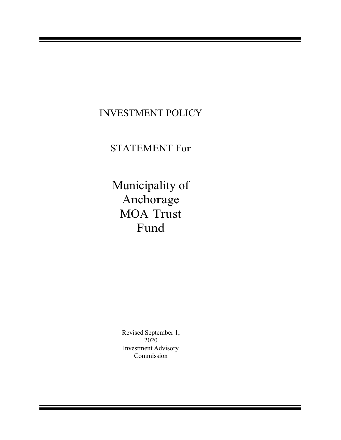### INVESTMENT POLICY

### STATEMENT For

Municipality of Anchorage MOA Trust Fund

> Revised September 1, 2020 Investment Advisory Commission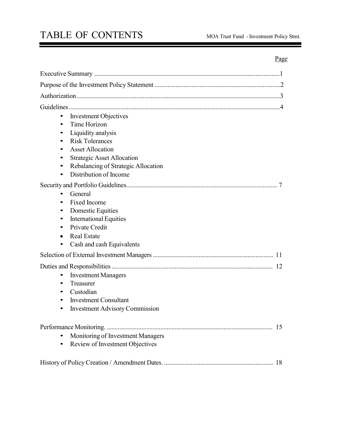# TABLE OF CONTENTS MOA Trust Fund - Investment Policy Stmt.

### Page

 $\overline{\phantom{a}}$ 

| <b>Investment Objectives</b><br>$\bullet$<br>Time Horizon<br>$\bullet$<br>Liquidity analysis<br>٠<br><b>Risk Tolerances</b><br>$\bullet$<br><b>Asset Allocation</b><br>$\bullet$<br><b>Strategic Asset Allocation</b><br>٠<br>Rebalancing of Strategic Allocation<br>٠<br>Distribution of Income<br>$\bullet$ |
|---------------------------------------------------------------------------------------------------------------------------------------------------------------------------------------------------------------------------------------------------------------------------------------------------------------|
| General<br>Fixed Income<br>$\bullet$<br><b>Domestic Equities</b><br>٠<br><b>International Equities</b><br>٠<br>Private Credit<br>$\bullet$<br><b>Real Estate</b><br>$\bullet$<br>Cash and cash Equivalents<br>$\bullet$                                                                                       |
|                                                                                                                                                                                                                                                                                                               |
| <b>Investment Managers</b><br>$\bullet$<br>Treasurer<br>٠<br>Custodian<br>٠<br><b>Investment Consultant</b><br><b>Investment Advisory Commission</b><br>$\bullet$                                                                                                                                             |
| Monitoring of Investment Managers<br>$\bullet$<br>Review of Investment Objectives<br>$\bullet$                                                                                                                                                                                                                |
|                                                                                                                                                                                                                                                                                                               |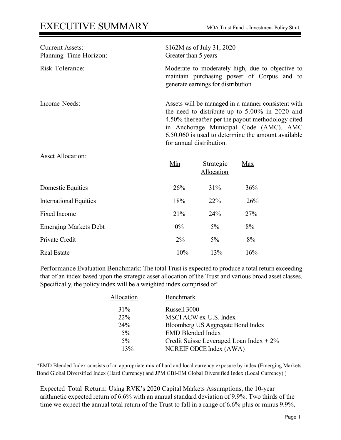| <b>Current Assets:</b><br>Planning Time Horizon: | \$162M as of July 31, 2020<br>Greater than 5 years                                                                                                                                                                                                                                       |
|--------------------------------------------------|------------------------------------------------------------------------------------------------------------------------------------------------------------------------------------------------------------------------------------------------------------------------------------------|
| Risk Tolerance:                                  | Moderate to moderately high, due to objective to<br>maintain purchasing power of Corpus and to<br>generate earnings for distribution                                                                                                                                                     |
| Income Needs:                                    | Assets will be managed in a manner consistent with<br>the need to distribute up to $5.00\%$ in 2020 and<br>4.50% thereafter per the payout methodology cited<br>in Anchorage Municipal Code (AMC). AMC<br>6.50.060 is used to determine the amount available<br>for annual distribution. |

Asset Allocation:

|                               | Min   | Strategic<br>Allocation | <b>Max</b> |
|-------------------------------|-------|-------------------------|------------|
| Domestic Equities             | 26%   | 31%                     | 36%        |
| <b>International Equities</b> | 18%   | 22%                     | 26%        |
| Fixed Income                  | 21%   | 24%                     | 27%        |
| <b>Emerging Markets Debt</b>  | $0\%$ | $5\%$                   | 8%         |
| Private Credit                | $2\%$ | $5\%$                   | 8%         |
| <b>Real Estate</b>            | 10%   | 13%                     | 16%        |

Performance Evaluation Benchmark: The total Trust is expected to produce a total return exceeding that of an index based upon the strategic asset allocation of the Trust and various broad asset classes. Specifically, the policy index will be a weighted index comprised of:

| Allocation | <b>Benchmark</b>                          |
|------------|-------------------------------------------|
| $31\%$     | Russell 3000                              |
| <b>22%</b> | MSCI ACW ex-U.S. Index                    |
| 24%        | Bloomberg US Aggregate Bond Index         |
| $5\%$      | <b>EMD Blended Index</b>                  |
| $5\%$      | Credit Suisse Leveraged Loan Index $+2\%$ |
| 13%        | NCREIF ODCE Index (AWA)                   |

\*EMD Blended Index consists of an appropriate mix of hard and local currency exposure by index (Emerging Markets Bond Global Diversified Index (Hard Currency) and JPM GBI-EM Global Diversified Index (Local Currency).)

Expected Total Return: Using RVK's 2020 Capital Markets Assumptions, the 10-year arithmetic expected return of 6.6% with an annual standard deviation of 9.9%. Two thirds of the time we expect the annual total return of the Trust to fall in a range of 6.6% plus or minus 9.9%.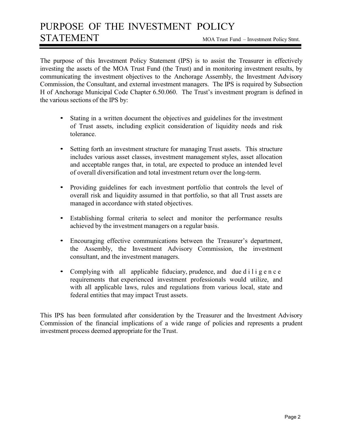### PURPOSE OF THE INVESTMENT POLICY STATEMENT MOA Trust Fund – Investment Policy Stmt.

The purpose of this Investment Policy Statement (IPS) is to assist the Treasurer in effectively investing the assets of the MOA Trust Fund (the Trust) and in monitoring investment results, by communicating the investment objectives to the Anchorage Assembly, the Investment Advisory Commission, the Consultant, and external investment managers. The IPS is required by Subsection H of Anchorage Municipal Code Chapter 6.50.060. The Trust's investment program is defined in the various sections of the IPS by:

- Stating in a written document the objectives and guidelines for the investment of Trust assets, including explicit consideration of liquidity needs and risk tolerance.
- Setting forth an investment structure for managing Trust assets. This structure includes various asset classes, investment management styles, asset allocation and acceptable ranges that, in total, are expected to produce an intended level of overall diversification and total investment return over the long-term.
- Providing guidelines for each investment portfolio that controls the level of overall risk and liquidity assumed in that portfolio, so that all Trust assets are managed in accordance with stated objectives.
- Establishing formal criteria to select and monitor the performance results achieved by the investment managers on a regular basis.
- Encouraging effective communications between the Treasurer's department, the Assembly, the Investment Advisory Commission, the investment consultant, and the investment managers.
- Complying with all applicable fiduciary, prudence, and due diligence requirements that experienced investment professionals would utilize, and with all applicable laws, rules and regulations from various local, state and federal entities that may impact Trust assets.

This IPS has been formulated after consideration by the Treasurer and the Investment Advisory Commission of the financial implications of a wide range of policies and represents a prudent investment process deemed appropriate for the Trust.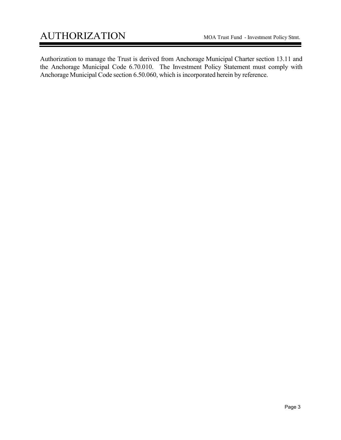Authorization to manage the Trust is derived from Anchorage Municipal Charter section 13.11 and the Anchorage Municipal Code 6.70.010. The Investment Policy Statement must comply with Anchorage Municipal Code section 6.50.060, which is incorporated herein by reference.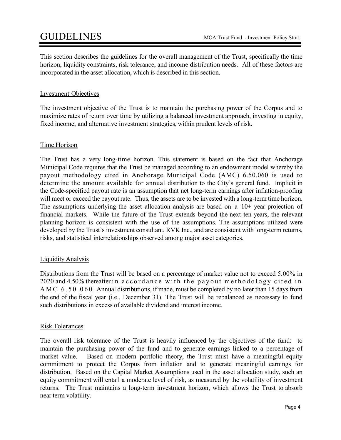This section describes the guidelines for the overall management of the Trust, specifically the time horizon, liquidity constraints, risk tolerance, and income distribution needs. All of these factors are incorporated in the asset allocation, which is described in this section.

#### Investment Objectives

The investment objective of the Trust is to maintain the purchasing power of the Corpus and to maximize rates of return over time by utilizing a balanced investment approach, investing in equity, fixed income, and alternative investment strategies, within prudent levels of risk.

#### Time Horizon

The Trust has a very long-time horizon. This statement is based on the fact that Anchorage Municipal Code requires that the Trust be managed according to an endowment model whereby the payout methodology cited in Anchorage Municipal Code (AMC) 6.50.060 is used to determine the amount available for annual distribution to the City's general fund. Implicit in the Code-specified payout rate is an assumption that net long-term earnings after inflation-proofing will meet or exceed the payout rate. Thus, the assets are to be invested with a long-term time horizon. The assumptions underlying the asset allocation analysis are based on a 10+ year projection of financial markets. While the future of the Trust extends beyond the next ten years, the relevant planning horizon is consistent with the use of the assumptions. The assumptions utilized were developed by the Trust's investment consultant, RVK Inc., and are consistent with long-term returns, risks, and statistical interrelationships observed among major asset categories.

#### Liquidity Analysis

Distributions from the Trust will be based on a percentage of market value not to exceed 5.00% in 2020 and 4.50% thereafter in accordance with the payout methodology cited in AMC  $6.50.060$ . Annual distributions, if made, must be completed by no later than 15 days from the end of the fiscal year (i.e., December 31). The Trust will be rebalanced as necessary to fund such distributions in excess of available dividend and interest income.

#### Risk Tolerances

The overall risk tolerance of the Trust is heavily influenced by the objectives of the fund: to maintain the purchasing power of the fund and to generate earnings linked to a percentage of market value. Based on modern portfolio theory, the Trust must have a meaningful equity commitment to protect the Corpus from inflation and to generate meaningful earnings for distribution. Based on the Capital Market Assumptions used in the asset allocation study, such an equity commitment will entail a moderate level of risk, as measured by the volatility of investment returns. The Trust maintains a long-term investment horizon, which allows the Trust to absorb near term volatility.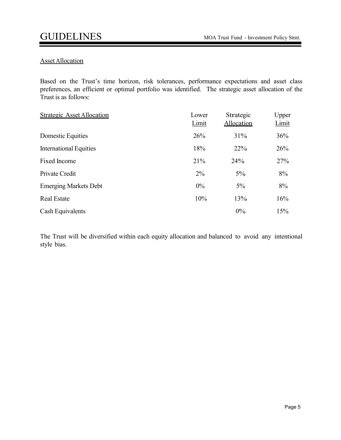#### Asset Allocation

Based on the Trust's time horizon, risk tolerances, performance expectations and asset class preferences, an efficient or optimal portfolio was identified. The strategic asset allocation of the Trust is as follows:

| <b>Strategic Asset Allocation</b> | Lower<br>Limit | Strategic<br>Allocation | Upper<br>Limit |
|-----------------------------------|----------------|-------------------------|----------------|
| Domestic Equities                 | 26%            | 31%                     | 36%            |
| <b>International Equities</b>     | 18%            | 22%                     | 26%            |
| Fixed Income                      | 21%            | 24%                     | 27%            |
| Private Credit                    | $2\%$          | $5\%$                   | 8%             |
| <b>Emerging Markets Debt</b>      | 0%             | $5\%$                   | 8%             |
| <b>Real Estate</b>                | 10%            | 13%                     | 16%            |
| Cash Equivalents                  |                | $0\%$                   | 15%            |

The Trust will be diversified within each equity allocation and balanced to avoid any intentional style bias.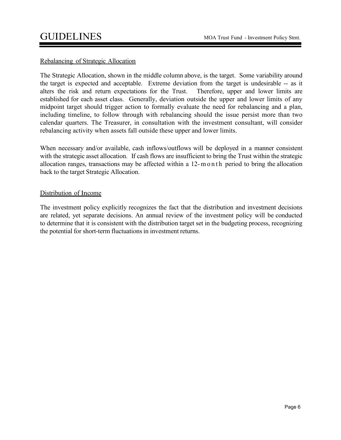#### Rebalancing of Strategic Allocation

The Strategic Allocation, shown in the middle column above, is the target. Some variability around the target is expected and acceptable. Extreme deviation from the target is undesirable -- as it alters the risk and return expectations for the Trust. Therefore, upper and lower limits are established for each asset class. Generally, deviation outside the upper and lower limits of any midpoint target should trigger action to formally evaluate the need for rebalancing and a plan, including timeline, to follow through with rebalancing should the issue persist more than two calendar quarters. The Treasurer, in consultation with the investment consultant, will consider rebalancing activity when assets fall outside these upper and lower limits.

When necessary and/or available, cash inflows/outflows will be deployed in a manner consistent with the strategic asset allocation. If cash flows are insufficient to bring the Trust within the strategic allocation ranges, transactions may be affected within a 12- month period to bring the allocation back to the target Strategic Allocation.

#### Distribution of Income

The investment policy explicitly recognizes the fact that the distribution and investment decisions are related, yet separate decisions. An annual review of the investment policy will be conducted to determine that it is consistent with the distribution target set in the budgeting process, recognizing the potential for short-term fluctuations in investment returns.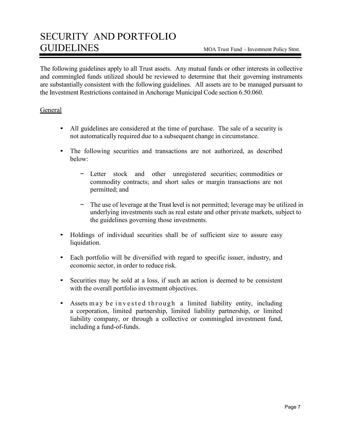The following guidelines apply to all Trust assets. Any mutual funds or other interests in collective and commingled funds utilized should be reviewed to determine that their governing instruments are substantially consistent with the following guidelines. All assets are to be managed pursuant to the Investment Restrictions contained in Anchorage Municipal Code section 6.50.060.

#### **General**

- All guidelines are considered at the time of purchase. The sale of a security is not automatically required due to a subsequent change in circumstance.
- The following securities and transactions are not authorized, as described below:
	- − Letter stock and other unregistered securities; commodities or commodity contracts; and short sales or margin transactions are not permitted; and
	- − The use of leverage at the Trust level is not permitted; leverage may be utilized in underlying investments such as real estate and other private markets, subject to the guidelines governing those investments.
- Holdings of individual securities shall be of sufficient size to assure easy liquidation.
- Each portfolio will be diversified with regard to specific issuer, industry, and economic sector, in order to reduce risk.
- Securities may be sold at a loss, if such an action is deemed to be consistent with the overall portfolio investment objectives.
- Assets may be invested through a limited liability entity, including a corporation, limited partnership, limited liability partnership, or limited liability company, or through a collective or commingled investment fund, including a fund-of-funds.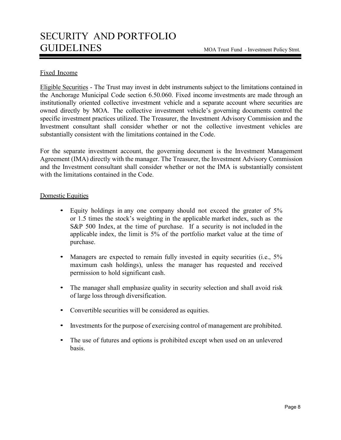#### Fixed Income

Eligible Securities - The Trust may invest in debt instruments subject to the limitations contained in the Anchorage Municipal Code section 6.50.060. Fixed income investments are made through an institutionally oriented collective investment vehicle and a separate account where securities are owned directly by MOA. The collective investment vehicle's governing documents control the specific investment practices utilized. The Treasurer, the Investment Advisory Commission and the Investment consultant shall consider whether or not the collective investment vehicles are substantially consistent with the limitations contained in the Code.

For the separate investment account, the governing document is the Investment Management Agreement (IMA) directly with the manager. The Treasurer, the Investment Advisory Commission and the Investment consultant shall consider whether or not the IMA is substantially consistent with the limitations contained in the Code.

#### Domestic Equities

- Equity holdings in any one company should not exceed the greater of 5% or 1.5 times the stock's weighting in the applicable market index, such as the S&P 500 Index, at the time of purchase. If a security is not included in the applicable index, the limit is 5% of the portfolio market value at the time of purchase.
- Managers are expected to remain fully invested in equity securities (i.e., 5%) maximum cash holdings), unless the manager has requested and received permission to hold significant cash.
- The manager shall emphasize quality in security selection and shall avoid risk of large loss through diversification.
- Convertible securities will be considered as equities.
- Investments for the purpose of exercising control of management are prohibited.
- The use of futures and options is prohibited except when used on an unlevered basis.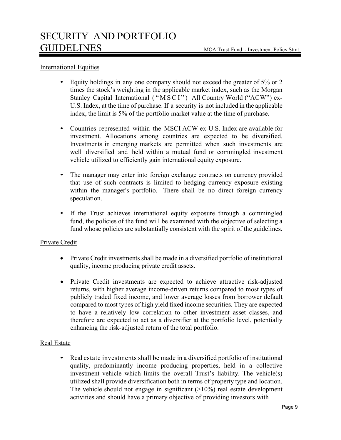#### International Equities

- Equity holdings in any one company should not exceed the greater of 5% or 2 times the stock's weighting in the applicable market index, such as the Morgan Stanley Capital International ("MSCI") All Country World ("ACW") ex-U.S. Index, at the time of purchase. If a security is not included in the applicable index, the limit is 5% of the portfolio market value at the time of purchase.
- Countries represented within the MSCI ACW ex-U.S. Index are available for investment. Allocations among countries are expected to be diversified. Investments in emerging markets are permitted when such investments are well diversified and held within a mutual fund or commingled investment vehicle utilized to efficiently gain international equity exposure.
- The manager may enter into foreign exchange contracts on currency provided that use of such contracts is limited to hedging currency exposure existing within the manager's portfolio. There shall be no direct foreign currency speculation.
- If the Trust achieves international equity exposure through a commingled fund, the policies of the fund will be examined with the objective of selecting a fund whose policies are substantially consistent with the spirit of the guidelines.

#### Private Credit

- Private Credit investments shall be made in a diversified portfolio of institutional quality, income producing private credit assets.
- Private Credit investments are expected to achieve attractive risk-adjusted returns, with higher average income-driven returns compared to most types of publicly traded fixed income, and lower average losses from borrower default compared to most types of high yield fixed income securities. They are expected to have a relatively low correlation to other investment asset classes, and therefore are expected to act as a diversifier at the portfolio level, potentially enhancing the risk-adjusted return of the total portfolio.

#### Real Estate

• Real estate investments shall be made in a diversified portfolio of institutional quality, predominantly income producing properties, held in a collective investment vehicle which limits the overall Trust's liability. The vehicle(s) utilized shall provide diversification both in terms of property type and location. The vehicle should not engage in significant  $(>10\%)$  real estate development activities and should have a primary objective of providing investors with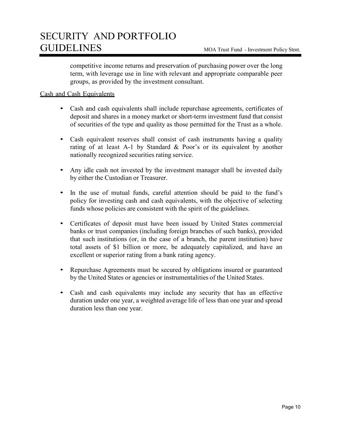competitive income returns and preservation of purchasing power over the long term, with leverage use in line with relevant and appropriate comparable peer groups, as provided by the investment consultant.

#### Cash and Cash Equivalents

- Cash and cash equivalents shall include repurchase agreements, certificates of deposit and shares in a money market or short-term investment fund that consist of securities of the type and quality as those permitted for the Trust as a whole.
- Cash equivalent reserves shall consist of cash instruments having a quality rating of at least A-1 by Standard & Poor's or its equivalent by another nationally recognized securities rating service.
- Any idle cash not invested by the investment manager shall be invested daily by either the Custodian or Treasurer.
- In the use of mutual funds, careful attention should be paid to the fund's policy for investing cash and cash equivalents, with the objective of selecting funds whose policies are consistent with the spirit of the guidelines.
- Certificates of deposit must have been issued by United States commercial banks or trust companies (including foreign branches of such banks), provided that such institutions (or, in the case of a branch, the parent institution) have total assets of \$1 billion or more, be adequately capitalized, and have an excellent or superior rating from a bank rating agency.
- Repurchase Agreements must be secured by obligations insured or guaranteed by the United States or agencies or instrumentalities of the United States.
- Cash and cash equivalents may include any security that has an effective duration under one year, a weighted average life of less than one year and spread duration less than one year.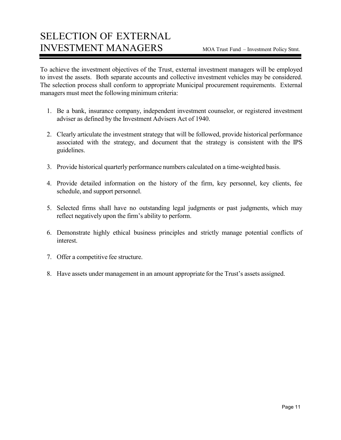### SELECTION OF EXTERNAL INVESTMENT MANAGERS MOA Trust Fund – Investment Policy Stmt.

To achieve the investment objectives of the Trust, external investment managers will be employed to invest the assets. Both separate accounts and collective investment vehicles may be considered. The selection process shall conform to appropriate Municipal procurement requirements. External managers must meet the following minimum criteria:

- 1. Be a bank, insurance company, independent investment counselor, or registered investment adviser as defined by the Investment Advisers Act of 1940.
- 2. Clearly articulate the investment strategy that will be followed, provide historical performance associated with the strategy, and document that the strategy is consistent with the IPS guidelines.
- 3. Provide historical quarterly performance numbers calculated on a time-weighted basis.
- 4. Provide detailed information on the history of the firm, key personnel, key clients, fee schedule, and support personnel.
- 5. Selected firms shall have no outstanding legal judgments or past judgments, which may reflect negatively upon the firm's ability to perform.
- 6. Demonstrate highly ethical business principles and strictly manage potential conflicts of interest.
- 7. Offer a competitive fee structure.
- 8. Have assets under management in an amount appropriate for the Trust's assets assigned.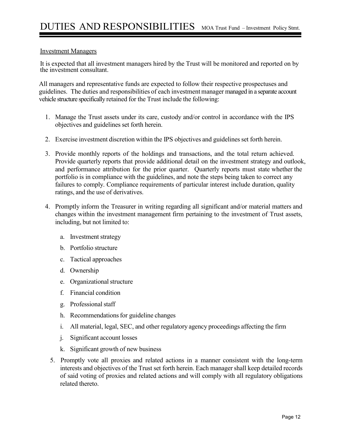#### Investment Managers

It is expected that all investment managers hired by the Trust will be monitored and reported on by the investment consultant.

All managers and representative funds are expected to follow their respective prospectuses and guidelines. The duties and responsibilities of each investment manager managed in a separate account vehicle structure specifically retained for the Trust include the following:

- 1. Manage the Trust assets under its care, custody and/or control in accordance with the IPS objectives and guidelines set forth herein.
- 2. Exercise investment discretion within the IPS objectives and guidelines set forth herein.
- 3. Provide monthly reports of the holdings and transactions, and the total return achieved. Provide quarterly reports that provide additional detail on the investment strategy and outlook, and performance attribution for the prior quarter. Quarterly reports must state whether the portfolio is in compliance with the guidelines, and note the steps being taken to correct any failures to comply. Compliance requirements of particular interest include duration, quality ratings, and the use of derivatives.
- 4. Promptly inform the Treasurer in writing regarding all significant and/or material matters and changes within the investment management firm pertaining to the investment of Trust assets, including, but not limited to:
	- a. Investment strategy
	- b. Portfolio structure
	- c. Tactical approaches
	- d. Ownership
	- e. Organizational structure
	- f. Financial condition
	- g. Professional staff
	- h. Recommendations for guideline changes
	- i. All material, legal, SEC, and other regulatory agency proceedings affecting the firm
	- j. Significant account losses
	- k. Significant growth of new business
	- 5. Promptly vote all proxies and related actions in a manner consistent with the long-term interests and objectives of the Trust set forth herein. Each manager shall keep detailed records of said voting of proxies and related actions and will comply with all regulatory obligations related thereto.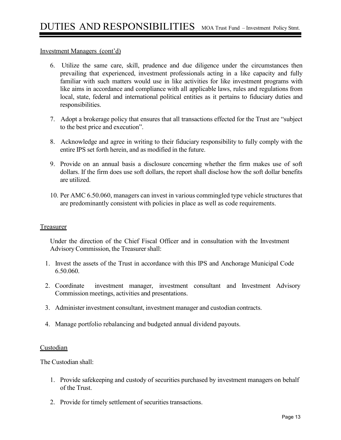#### Investment Managers (cont'd)

- 6. Utilize the same care, skill, prudence and due diligence under the circumstances then prevailing that experienced, investment professionals acting in a like capacity and fully familiar with such matters would use in like activities for like investment programs with like aims in accordance and compliance with all applicable laws, rules and regulations from local, state, federal and international political entities as it pertains to fiduciary duties and responsibilities.
- 7. Adopt a brokerage policy that ensures that all transactions effected for the Trust are "subject to the best price and execution".
- 8. Acknowledge and agree in writing to their fiduciary responsibility to fully comply with the entire IPS set forth herein, and as modified in the future.
- 9. Provide on an annual basis a disclosure concerning whether the firm makes use of soft dollars. If the firm does use soft dollars, the report shall disclose how the soft dollar benefits are utilized.
- 10. Per AMC 6.50.060, managers can invest in various commingled type vehicle structures that are predominantly consistent with policies in place as well as code requirements.

#### Treasurer

Under the direction of the Chief Fiscal Officer and in consultation with the Investment Advisory Commission, the Treasurer shall:

- 1. Invest the assets of the Trust in accordance with this IPS and Anchorage Municipal Code 6.50.060.
- 2. Coordinate investment manager, investment consultant and Investment Advisory Commission meetings, activities and presentations.
- 3. Administer investment consultant, investment manager and custodian contracts.
- 4. Manage portfolio rebalancing and budgeted annual dividend payouts.

#### **Custodian**

The Custodian shall:

- 1. Provide safekeeping and custody of securities purchased by investment managers on behalf of the Trust.
- 2. Provide for timely settlement of securities transactions.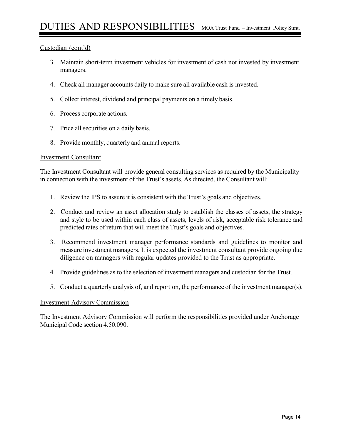#### Custodian (cont'd)

- 3. Maintain short-term investment vehicles for investment of cash not invested by investment managers.
- 4. Check all manager accounts daily to make sure all available cash is invested.
- 5. Collect interest, dividend and principal payments on a timely basis.
- 6. Process corporate actions.
- 7. Price all securities on a daily basis.
- 8. Provide monthly, quarterly and annual reports.

#### Investment Consultant

The Investment Consultant will provide general consulting services as required by the Municipality in connection with the investment of the Trust's assets. As directed, the Consultant will:

- 1. Review the IPS to assure it is consistent with the Trust's goals and objectives.
- 2. Conduct and review an asset allocation study to establish the classes of assets, the strategy and style to be used within each class of assets, levels of risk, acceptable risk tolerance and predicted rates of return that will meet the Trust's goals and objectives.
- 3. Recommend investment manager performance standards and guidelines to monitor and measure investment managers. It is expected the investment consultant provide ongoing due diligence on managers with regular updates provided to the Trust as appropriate.
- 4. Provide guidelines as to the selection of investment managers and custodian for the Trust.
- 5. Conduct a quarterly analysis of, and report on, the performance of the investment manager(s).

#### Investment Advisory Commission

The Investment Advisory Commission will perform the responsibilities provided under Anchorage Municipal Code section 4.50.090.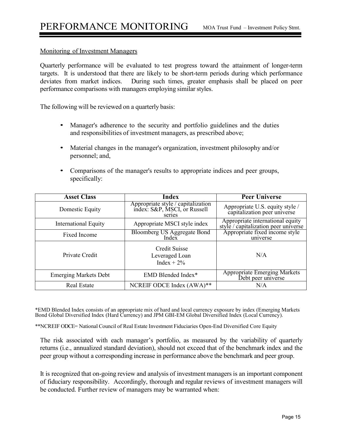#### Monitoring of Investment Managers

Quarterly performance will be evaluated to test progress toward the attainment of longer-term targets. It is understood that there are likely to be short-term periods during which performance deviates from market indices. During such times, greater emphasis shall be placed on peer performance comparisons with managers employing similar styles.

The following will be reviewed on a quarterly basis:

- Manager's adherence to the security and portfolio guidelines and the duties and responsibilities of investment managers, as prescribed above;
- Material changes in the manager's organization, investment philosophy and/or personnel; and,
- Comparisons of the manager's results to appropriate indices and peer groups, specifically:

| <b>Asset Class</b>           | <b>Index</b>                                                                 | <b>Peer Universe</b>                                                          |
|------------------------------|------------------------------------------------------------------------------|-------------------------------------------------------------------------------|
| Domestic Equity              | Appropriate style / capitalization<br>index: S&P, MSCI, or Russell<br>series | Appropriate U.S. equity style /<br>capitalization peer universe               |
| <b>International Equity</b>  | Appropriate MSCI style index                                                 | Appropriate international equity<br>style $\ell$ capitalization peer universe |
| Fixed Income                 | <b>Bloomberg US Aggregate Bond</b><br>Index                                  | Appropriate fixed income style<br>universe                                    |
| Private Credit               | Credit Suisse<br>Leveraged Loan<br>Index + $2\%$                             | N/A                                                                           |
| <b>Emerging Markets Debt</b> | EMD Blended Index*                                                           | Appropriate Emerging Markets<br>Debt peer universe                            |
| <b>Real Estate</b>           | NCREIF ODCE Index (AWA)**                                                    | N/A                                                                           |

\*EMD Blended Index consists of an appropriate mix of hard and local currency exposure by index (Emerging Markets Bond Global Diversified Index (Hard Currency) and JPM GBI-EM Global Diversified Index (Local Currency).

\*\*NCREIF ODCE= National Council of Real Estate Investment Fiduciaries Open-End Diversified Core Equity

The risk associated with each manager's portfolio, as measured by the variability of quarterly returns (i.e., annualized standard deviation), should not exceed that of the benchmark index and the peer group without a corresponding increase in performance above the benchmark and peer group.

It is recognized that on-going review and analysis of investment managers is an important component of fiduciary responsibility. Accordingly, thorough and regular reviews of investment managers will be conducted. Further review of managers may be warranted when: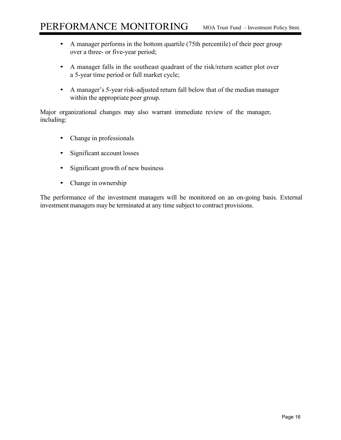- A manager performs in the bottom quartile (75th percentile) of their peer group over a three- or five-year period;
- A manager falls in the southeast quadrant of the risk/return scatter plot over a 5-year time period or full market cycle;
- A manager's 5-year risk-adjusted return fall below that of the median manager within the appropriate peer group.

Major organizational changes may also warrant immediate review of the manager, including:

- Change in professionals
- Significant account losses
- Significant growth of new business
- Change in ownership

The performance of the investment managers will be monitored on an on-going basis. External investment managers may be terminated at any time subject to contract provisions.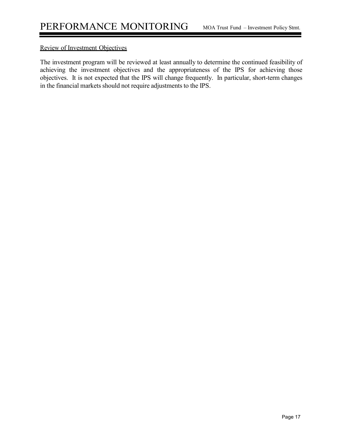#### Review of Investment Objectives

The investment program will be reviewed at least annually to determine the continued feasibility of achieving the investment objectives and the appropriateness of the IPS for achieving those objectives. It is not expected that the IPS will change frequently. In particular, short-term changes in the financial markets should not require adjustments to the IPS.